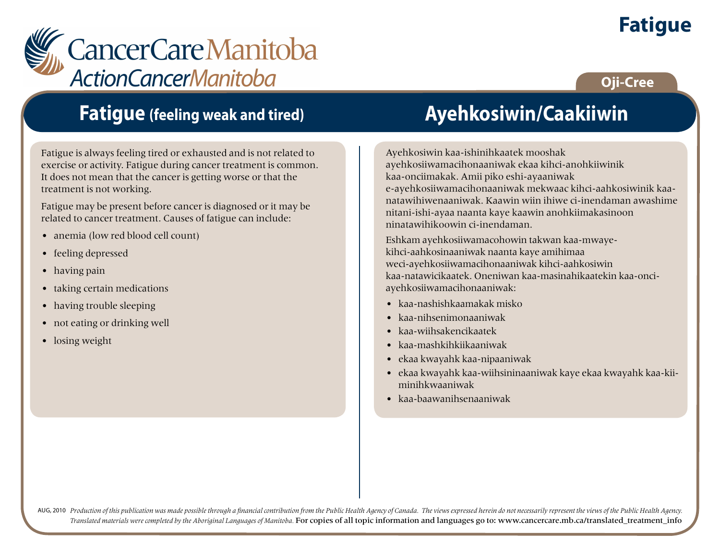# **Fatigue**

**Oji-Cree**



## **Fatigue (feeling weak and tired)**

Fatigue is always feeling tired or exhausted and is not related to exercise or activity. Fatigue during cancer treatment is common. It does not mean that the cancer is getting worse or that the treatment is not working.

Fatigue may be present before cancer is diagnosed or it may be related to cancer treatment. Causes of fatigue can include:

- anemia (low red blood cell count)
- feeling depressed
- having pain
- taking certain medications
- having trouble sleeping
- not eating or drinking well
- losing weight

# **Ayehkosiwin/Caakiiwin**

Ayehkosiwin kaa-ishinihkaatek mooshak ayehkosiiwamacihonaaniwak ekaa kihci-anohkiiwinik kaa-onciimakak. Amii piko eshi-ayaaniwak e-ayehkosiiwamacihonaaniwak mekwaac kihci-aahkosiwinik kaanatawihiwenaaniwak. Kaawin wiin ihiwe ci-inendaman awashime nitani-ishi-ayaa naanta kaye kaawin anohkiimakasinoon ninatawihikoowin ci-inendaman.

Eshkam ayehkosiiwamacohowin takwan kaa-mwayekihci-aahkosinaaniwak naanta kaye amihimaa weci-ayehkosiiwamacihonaaniwak kihci-aahkosiwin kaa-natawicikaatek. Oneniwan kaa-masinahikaatekin kaa-onciayehkosiiwamacihonaaniwak:

- kaa-nashishkaamakak misko
- kaa-nihsenimonaaniwak
- kaa-wiihsakencikaatek
- kaa-mashkihkiikaaniwak
- ekaa kwayahk kaa-nipaaniwak
- ekaa kwayahk kaa-wiihsininaaniwak kaye ekaa kwayahk kaa-kiiminihkwaaniwak
- kaa-baawanihsenaaniwak

AUG, 2010 Production of this publication was made possible through a financial contribution from the Public Health Agency of Canada. The views expressed herein do not necessarily represent the views of the Public Health Ag *Translated materials were completed by the Aboriginal Languages of Manitoba.* For copies of all topic information and languages go to: www.cancercare.mb.ca/translated\_treatment\_info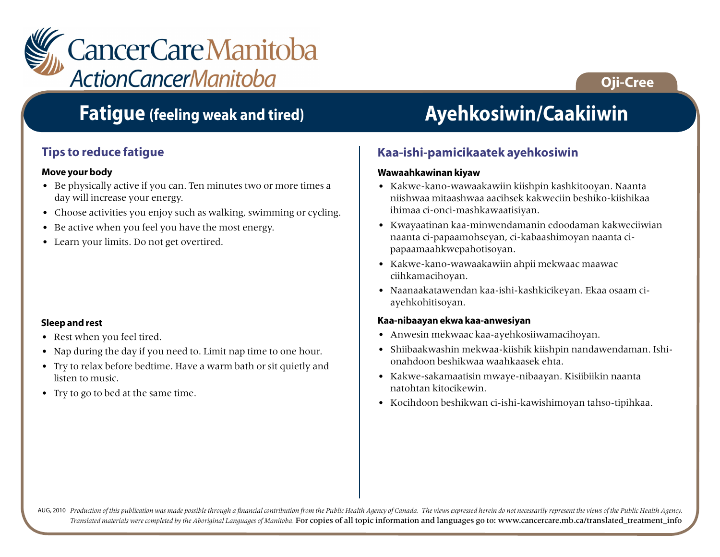

### **Fatigue (feeling weak and tired) Ayehkosiwin/Caakiiwin**

### **Tips to reduce fatigue**

#### **Move your body**

- Be physically active if you can. Ten minutes two or more times a day will increase your energy.
- Choose activities you enjoy such as walking, swimming or cycling.
- Be active when you feel you have the most energy.
- Learn your limits. Do not get overtired.

#### **Sleep and rest**

- Rest when you feel tired.
- Nap during the day if you need to. Limit nap time to one hour.
- Try to relax before bedtime. Have a warm bath or sit quietly and listen to music.
- Try to go to bed at the same time.

**Oji-Cree**

#### **Kaa-ishi-pamicikaatek ayehkosiwin**

#### **Wawaahkawinan kiyaw**

- Kakwe-kano-wawaakawiin kiishpin kashkitooyan. Naanta niishwaa mitaashwaa aacihsek kakweciin beshiko-kiishikaa ihimaa ci-onci-mashkawaatisiyan.
- Kwayaatinan kaa-minwendamanin edoodaman kakweciiwian naanta ci-papaamohseyan, ci-kabaashimoyan naanta cipapaamaahkwepahotisoyan.
- Kakwe-kano-wawaakawiin ahpii mekwaac maawac ciihkamacihoyan.
- Naanaakatawendan kaa-ishi-kashkicikeyan. Ekaa osaam ciayehkohitisoyan.

#### **Kaa-nibaayan ekwa kaa-anwesiyan**

- Anwesin mekwaac kaa-ayehkosiiwamacihoyan.
- Shiibaakwashin mekwaa-kiishik kiishpin nandawendaman. Ishionahdoon beshikwaa waahkaasek ehta.
- Kakwe-sakamaatisin mwaye-nibaayan. Kisiibiikin naanta natohtan kitocikewin.
- Kocihdoon beshikwan ci-ishi-kawishimoyan tahso-tipihkaa.

AUG, 2010 Production of this publication was made possible through a financial contribution from the Public Health Agency of Canada. The views expressed herein do not necessarily represent the views of the Public Health Ag *Translated materials were completed by the Aboriginal Languages of Manitoba.* For copies of all topic information and languages go to: www.cancercare.mb.ca/translated\_treatment\_info